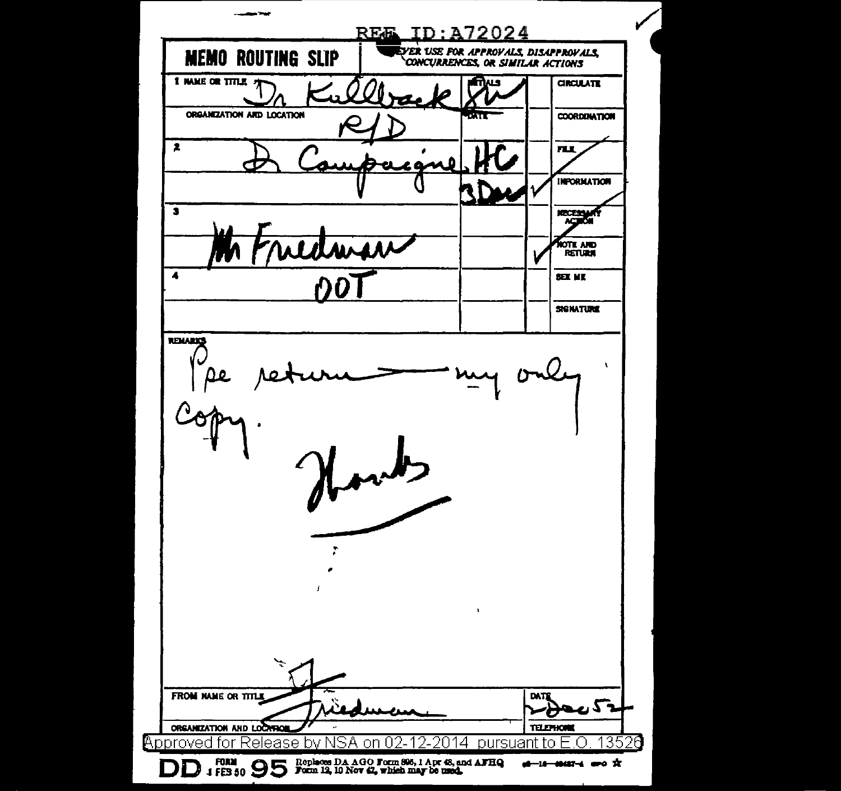| - - -                     |                                                                           |           |      |                         |
|---------------------------|---------------------------------------------------------------------------|-----------|------|-------------------------|
| <b>RE&amp;</b>            |                                                                           | ID:A72024 |      |                         |
| <b>MEMO ROUTING SLIP</b>  | EVER USE FOR APPROVALS, DISAPPROVALS,<br>CONCURRENCES, OR SIMILAR ACTIONS |           |      |                         |
| I MAKE OR TITLE           |                                                                           |           |      | <b>CIRCULATE</b>        |
| ORGANIZATION ARD LOCATION |                                                                           |           |      | <b>COORDINATION</b>     |
| $\blacktriangleright$     |                                                                           |           |      | ПЦ                      |
|                           |                                                                           |           |      | <b>INFORMATION</b>      |
| 3                         |                                                                           |           |      |                         |
| edwar                     |                                                                           |           |      | ote and<br>Return       |
| 4                         |                                                                           |           |      | <b>SEE ME</b>           |
|                           |                                                                           |           |      | <b>SIGNATURE</b>        |
| 1                         |                                                                           | ٠         |      |                         |
|                           |                                                                           |           |      |                         |
| ÷                         |                                                                           |           |      |                         |
| <b>FROM NAME OR TITLE</b> |                                                                           |           | DAT. | ยงวิ<br><b>TELEHOMI</b> |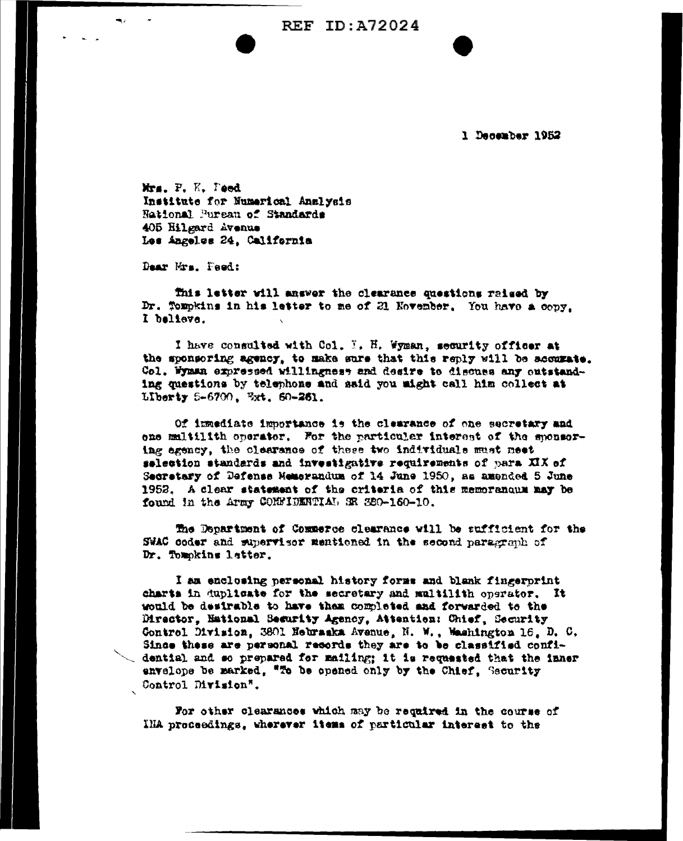**REF ID: A72024** 

1 December 1952

Mrs. F. K. Teed Institute for Numerical Analysis National Pureau of Standards 405 Hilgard Avenue Les Angelss 24, California

Dear Mrs. Peed:

This letter will answer the clearance questions raised by Dr. Tompkins in his letter to me of 21 November. You have a copy. I believe.

I have consulted with Col. I. H. Wyman, security officer at the sponsoring agency, to make sure that this reply will be accurate. Col. Wyman expressed willingness and desire to discuss any outstanding questions by telephone and said you might call him collect at Liberty 5-6700, Ext. 60-261.

Of immediate importance is the clearance of one secretary and one multilith operator. For the particular interest of the sponsoring agency, the clearance of these two individuals must neet selection standards and investigative requirements of para XIX of Secretary of Defense Memorandum of 14 June 1950, as amended 5 June 1952. A clear statement of the criteria of this memorangum may be found in the Army COMNIDENTIAL SR 380-160-10.

The Department of Commerce clearance will be sufficient for the SWAC coder and supervisor mentioned in the second paragraph of Dr. Tompkins latter.

I am enclosing personal history forms and blank fingerprint charts in duplicate for the secretary and multilith operator. It would be desirable to have them completed and forwarded to the Director, National Security Agency, Attention: Chief, Security Control Division, 3801 Hebraska Avenue, N. W., Washington 16, D. C. Since these are personal resords they are to be classified confidential and so prepared for mailing; it is requested that the inner envelope be marked, "To be opened only by the Chief, Security Control Division".

For other clearances which may be required in the course of IHA proceedings, wherever items of particular interest to the